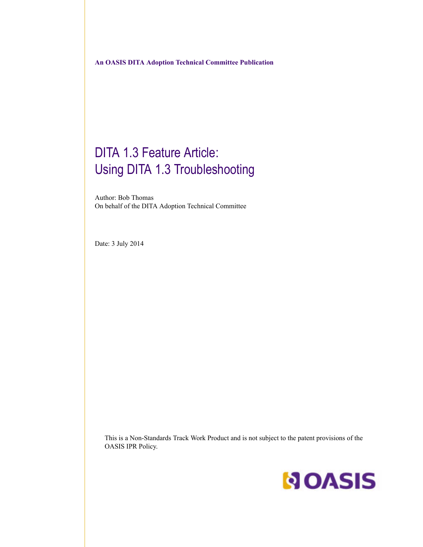# DITA 1.3 Feature Article: Using DITA 1.3 Troubleshooting

Author: Bob Thomas On behalf of the DITA Adoption Technical Committee

Date: 3 July 2014

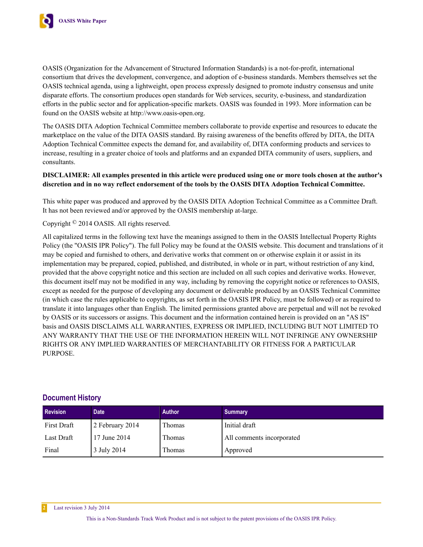

OASIS (Organization for the Advancement of Structured Information Standards) is a not-for-profit, international consortium that drives the development, convergence, and adoption of e-business standards. Members themselves set the OASIS technical agenda, using a lightweight, open process expressly designed to promote industry consensus and unite disparate efforts. The consortium produces open standards for Web services, security, e-business, and standardization efforts in the public sector and for application-specific markets. OASIS was founded in 1993. More information can be found on the OASIS website at http://www.oasis-open.org.

The OASIS DITA Adoption Technical Committee members collaborate to provide expertise and resources to educate the marketplace on the value of the DITA OASIS standard. By raising awareness of the benefits offered by DITA, the DITA Adoption Technical Committee expects the demand for, and availability of, DITA conforming products and services to increase, resulting in a greater choice of tools and platforms and an expanded DITA community of users, suppliers, and consultants.

#### **DISCLAIMER: All examples presented in this article were produced using one or more tools chosen at the author's discretion and in no way reflect endorsement of the tools by the OASIS DITA Adoption Technical Committee.**

This white paper was produced and approved by the OASIS DITA Adoption Technical Committee as a Committee Draft. It has not been reviewed and/or approved by the OASIS membership at-large.

Copyright © 2014 OASIS. All rights reserved.

All capitalized terms in the following text have the meanings assigned to them in the OASIS Intellectual Property Rights Policy (the "OASIS IPR Policy"). The full Policy may be found at the OASIS website. This document and translations of it may be copied and furnished to others, and derivative works that comment on or otherwise explain it or assist in its implementation may be prepared, copied, published, and distributed, in whole or in part, without restriction of any kind, provided that the above copyright notice and this section are included on all such copies and derivative works. However, this document itself may not be modified in any way, including by removing the copyright notice or references to OASIS, except as needed for the purpose of developing any document or deliverable produced by an OASIS Technical Committee (in which case the rules applicable to copyrights, as set forth in the OASIS IPR Policy, must be followed) or as required to translate it into languages other than English. The limited permissions granted above are perpetual and will not be revoked by OASIS or its successors or assigns. This document and the information contained herein is provided on an "AS IS" basis and OASIS DISCLAIMS ALL WARRANTIES, EXPRESS OR IMPLIED, INCLUDING BUT NOT LIMITED TO ANY WARRANTY THAT THE USE OF THE INFORMATION HEREIN WILL NOT INFRINGE ANY OWNERSHIP RIGHTS OR ANY IMPLIED WARRANTIES OF MERCHANTABILITY OR FITNESS FOR A PARTICULAR PURPOSE.

### **Document History**

| <b>Revision</b> | <b>Date</b>     | Author | <b>Summary</b>            |
|-----------------|-----------------|--------|---------------------------|
| First Draft     | 2 February 2014 | Thomas | Initial draft             |
| Last Draft      | 17 June 2014    | Thomas | All comments incorporated |
| Final           | 3 July 2014     | Thomas | Approved                  |

**2** Last revision 3 July 2014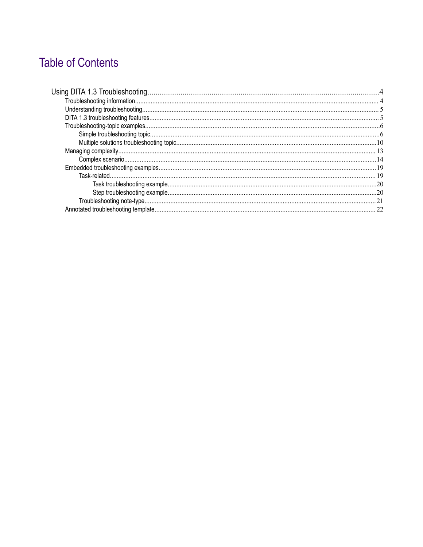# **Table of Contents**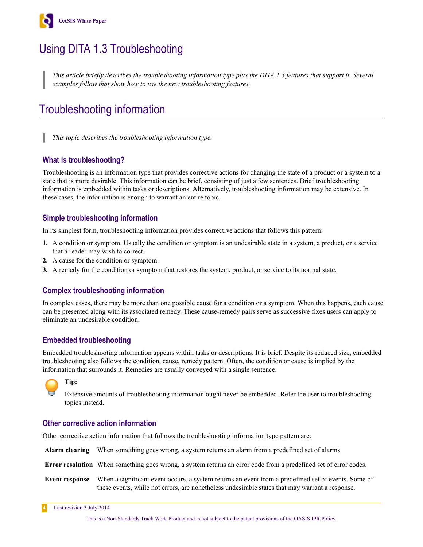<span id="page-3-0"></span>

# Using DITA 1.3 Troubleshooting

*This article briefly describes the troubleshooting information type plus the DITA 1.3 features that support it. Several examples follow that show how to use the new troubleshooting features.*

# Troubleshooting information

*This topic describes the troubleshooting information type.*

### **What is troubleshooting?**

Troubleshooting is an information type that provides corrective actions for changing the state of a product or a system to a state that is more desirable. This information can be brief, consisting of just a few sentences. Brief troubleshooting information is embedded within tasks or descriptions. Alternatively, troubleshooting information may be extensive. In these cases, the information is enough to warrant an entire topic.

### **Simple troubleshooting information**

In its simplest form, troubleshooting information provides corrective actions that follows this pattern:

- **1.** A condition or symptom. Usually the condition or symptom is an undesirable state in a system, a product, or a service that a reader may wish to correct.
- **2.** A cause for the condition or symptom.
- **3.** A remedy for the condition or symptom that restores the system, product, or service to its normal state.

### **Complex troubleshooting information**

In complex cases, there may be more than one possible cause for a condition or a symptom. When this happens, each cause can be presented along with its associated remedy. These cause-remedy pairs serve as successive fixes users can apply to eliminate an undesirable condition.

### **Embedded troubleshooting**

Embedded troubleshooting information appears within tasks or descriptions. It is brief. Despite its reduced size, embedded troubleshooting also follows the condition, cause, remedy pattern. Often, the condition or cause is implied by the information that surrounds it. Remedies are usually conveyed with a single sentence.



**Tip:**

Extensive amounts of troubleshooting information ought never be embedded. Refer the user to troubleshooting topics instead.

### **Other corrective action information**

Other corrective action information that follows the troubleshooting information type pattern are:

|                | Alarm clearing When something goes wrong, a system returns an alarm from a predefined set of alarms.                                                                                                   |
|----------------|--------------------------------------------------------------------------------------------------------------------------------------------------------------------------------------------------------|
|                | <b>Error resolution</b> When something goes wrong, a system returns an error code from a predefined set of error codes.                                                                                |
| Event response | When a significant event occurs, a system returns an event from a predefined set of events. Some of<br>these events, while not errors, are nonetheless undesirable states that may warrant a response. |

**4** Last revision 3 July 2014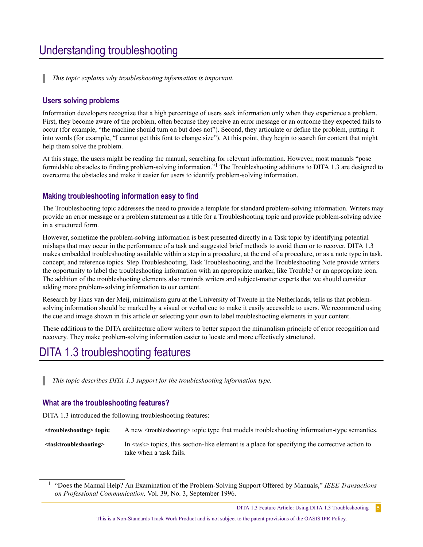# <span id="page-4-0"></span>Understanding troubleshooting

*This topic explains why troubleshooting information is important.*

#### **Users solving problems**

Information developers recognize that a high percentage of users seek information only when they experience a problem. First, they become aware of the problem, often because they receive an error message or an outcome they expected fails to occur (for example, "the machine should turn on but does not"). Second, they articulate or define the problem, putting it into words (for example, "I cannot get this font to change size"). At this point, they begin to search for content that might help them solve the problem.

At this stage, the users might be reading the manual, searching for relevant information. However, most manuals "pose formidable obstacles to finding problem-solving information."<sup>1</sup> The Troubleshooting additions to DITA 1.3 are designed to overcome the obstacles and make it easier for users to identify problem-solving information.

#### **Making troubleshooting information easy to find**

The Troubleshooting topic addresses the need to provide a template for standard problem-solving information. Writers may provide an error message or a problem statement as a title for a Troubleshooting topic and provide problem-solving advice in a structured form.

However, sometime the problem-solving information is best presented directly in a Task topic by identifying potential mishaps that may occur in the performance of a task and suggested brief methods to avoid them or to recover. DITA 1.3 makes embedded troubleshooting available within a step in a procedure, at the end of a procedure, or as a note type in task, concept, and reference topics. Step Troubleshooting, Task Troubleshooting, and the Troubleshooting Note provide writers the opportunity to label the troubleshooting information with an appropriate marker, like Trouble? or an appropriate icon. The addition of the troubleshooting elements also reminds writers and subject-matter experts that we should consider adding more problem-solving information to our content.

Research by Hans van der Meij, minimalism guru at the University of Twente in the Netherlands, tells us that problemsolving information should be marked by a visual or verbal cue to make it easily accessible to users. We recommend using the cue and image shown in this article or selecting your own to label troubleshooting elements in your content.

These additions to the DITA architecture allow writers to better support the minimalism principle of error recognition and recovery. They make problem-solving information easier to locate and more effectively structured.

## DITA 1.3 troubleshooting features

*This topic describes DITA 1.3 support for the troubleshooting information type.*

#### **What are the troubleshooting features?**

DITA 1.3 introduced the following troubleshooting features:

| <troubleshooting> topic</troubleshooting> | A new <troubleshooting> topic type that models troubleshooting information-type semantics.</troubleshooting> |  |  |  |
|-------------------------------------------|--------------------------------------------------------------------------------------------------------------|--|--|--|
|                                           |                                                                                                              |  |  |  |

**<tasktroubleshooting>** In <task> topics, this section-like element is a place for specifying the corrective action to take when a task fails.

<sup>&</sup>lt;sup>1</sup> "Does the Manual Help? An Examination of the Problem-Solving Support Offered by Manuals," *IEEE Transactions on Professional Communication,* Vol. 39, No. 3, September 1996.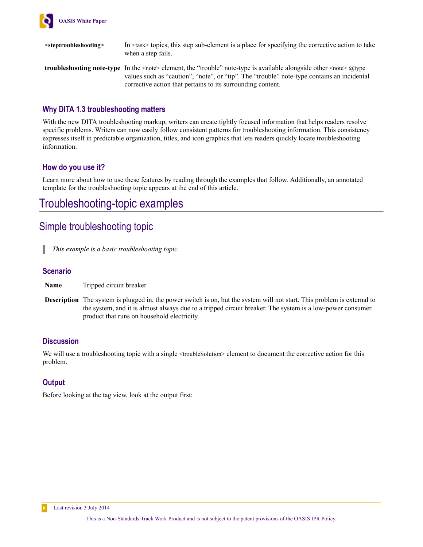<span id="page-5-0"></span>

**<steptroubleshooting>** In <task> topics, this step sub-element is a place for specifying the corrective action to take when a step fails. **troubleshooting note-type** In the <note> element, the "trouble" note-type is available alongside other <note> @type

values such as "caution", "note", or "tip". The "trouble" note-type contains an incidental corrective action that pertains to its surrounding content.

### **Why DITA 1.3 troubleshooting matters**

With the new DITA troubleshooting markup, writers can create tightly focused information that helps readers resolve specific problems. Writers can now easily follow consistent patterns for troubleshooting information. This consistency expresses itself in predictable organization, titles, and icon graphics that lets readers quickly locate troubleshooting information.

### **How do you use it?**

Learn more about how to use these features by reading through the examples that follow. Additionally, an annotated template for the troubleshooting topic appears at the end of this article.

# Troubleshooting-topic examples

### Simple troubleshooting topic

*This example is a basic troubleshooting topic.*

### **Scenario**

|  | <b>Name</b> | Tripped circuit breaker |  |
|--|-------------|-------------------------|--|
|--|-------------|-------------------------|--|

**Description** The system is plugged in, the power switch is on, but the system will not start. This problem is external to the system, and it is almost always due to a tripped circuit breaker. The system is a low-power consumer product that runs on household electricity.

### **Discussion**

We will use a troubleshooting topic with a single <troubleSolution> element to document the corrective action for this problem.

### **Output**

Before looking at the tag view, look at the output first: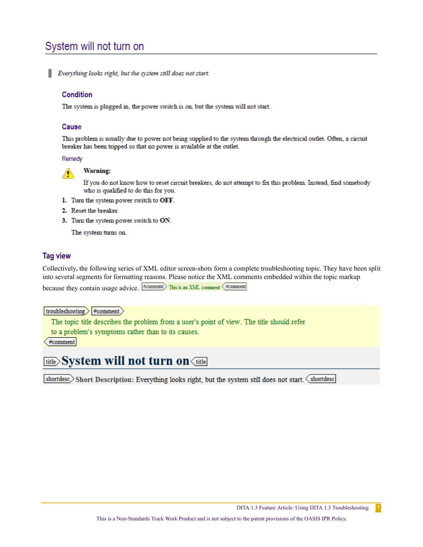# System will not turn on

### Condition

The system is plugged in, the power switch is on, but the system will not start.

#### Cause

This problem is usually due to power not being supplied to the system through the electrical outlet. Often, a circuit breaker has been tripped so that no power is available at the outlet.

Remedy



**Warning:** 

If you do not know how to reset circuit breakers, do not attempt to fix this problem. Instead, find somebody who is qualified to do this for you.

- 1. Turn the system power switch to OFF.
- 2. Reset the breaker.
- 3. Turn the system power switch to ON.

The system turns on.

### **Tag view**

Collectively, the following series of XML editor screen-shots form a complete troubleshooting topic. They have been split into several segments for formatting reasons. Please notice the XML comments embedded within the topic markup because they contain usage advice. Fromment This is an XML comment (#comment

troubleshooting >  $#comment$ 

The topic title describes the problem from a user's point of view. The title should refer

to a problem's symptoms rather than to its causes.

#comment

# **<u>title</u>>System will not turn on**<title

shortdesc>Short Description: Everything looks right, but the system still does not start. < shortdesc

 $7\overline{ }$ 

Everything looks right, but the system still does not start.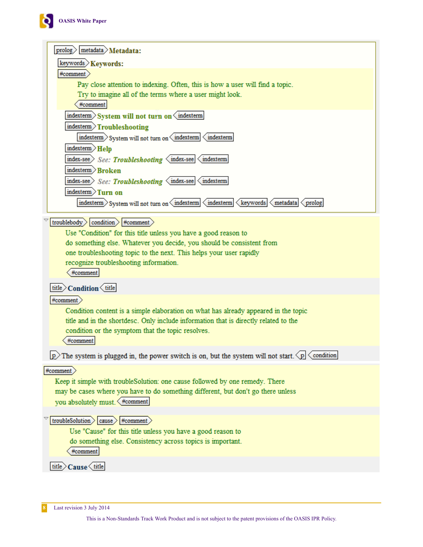

| $prob$ <sub>metadata</sub> $\angle$ Metadata:                                                                               |
|-----------------------------------------------------------------------------------------------------------------------------|
| keywords > Keywords:                                                                                                        |
| #comment                                                                                                                    |
| Pay close attention to indexing. Often, this is how a user will find a topic.                                               |
| Try to imagine all of the terms where a user might look.                                                                    |
| #comment                                                                                                                    |
| indexterm System will not turn on indexterm                                                                                 |
| indexterm Troubleshooting                                                                                                   |
| indexterm > System will not turn on < indexterm <<br>indexterm                                                              |
| indexterm $>$ Help                                                                                                          |
| index-see See: Troubleshooting <index-see <indexterm<="" td=""></index-see>                                                 |
| indexterm $>$ Bro $\mathrm{ken}$                                                                                            |
| index-see See: Troubleshooting <index-see <indexterm<="" td=""></index-see>                                                 |
| indexterm $\sum$ Turn on                                                                                                    |
| indexterm > System will not turn on < indexterm < indexterm < keywords < metadata < prolog                                  |
|                                                                                                                             |
| troublebody $\rangle$ condition $\rangle$ #comment $\rangle$                                                                |
| Use "Condition" for this title unless you have a good reason to                                                             |
| do something else. Whatever you decide, you should be consistent from                                                       |
| one troubleshooting topic to the next. This helps your user rapidly                                                         |
| recognize troubleshooting information.<br>#comment                                                                          |
|                                                                                                                             |
| title Condition < title                                                                                                     |
| #comment $\rangle$                                                                                                          |
| Condition content is a simple elaboration on what has already appeared in the topic                                         |
| title and in the shortdesc. Only include information that is directly related to the                                        |
| condition or the symptom that the topic resolves.                                                                           |
| #comment                                                                                                                    |
| $ p\rangle$ The system is plugged in, the power switch is on, but the system will not start. $\langle p  \langle$ condition |
| #comment                                                                                                                    |
| Keep it simple with troubleSolution: one cause followed by one remedy. There                                                |
| may be cases where you have to do something different, but don't go there unless                                            |
| you absolutely must. <#comment                                                                                              |
|                                                                                                                             |
| troubleSolution $\rangle$ cause $\rangle$ #comment $\rangle$                                                                |
| Use "Cause" for this title unless you have a good reason to                                                                 |
| do something else. Consistency across topics is important.<br>#comment                                                      |
|                                                                                                                             |
| title Cause <title< td=""></title<>                                                                                         |

**8** Last revision 3 July 2014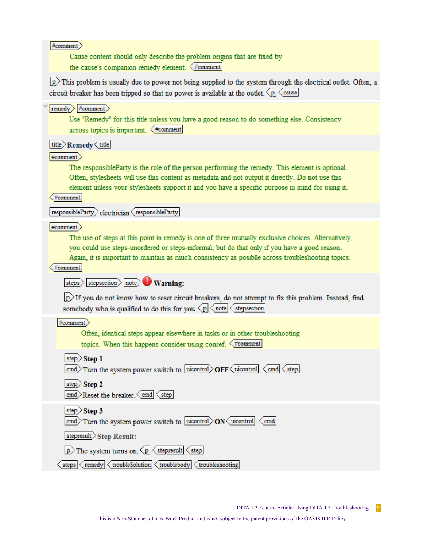$#comment$ 

Cause content should only describe the problem origins that are fixed by the cause's companion remedy element.  $\left\langle \right.$ #comment

 $\vert p \rangle$ This problem is usually due to power not being supplied to the system through the electrical outlet. Often, a circuit breaker has been tripped so that no power is available at the outlet.  $\langle p | \langle$  cause

#### $|$  remedy  $\rangle$  #comment  $\rangle$

Use "Remedy" for this title unless you have a good reason to do something else. Consistency  $across topics is important.$   $\leq$ #comment

title Remedy (title

 $\ket{\text{\#comment}}$ 

The responsibleParty is the role of the person performing the remedy. This element is optional. Often, stylesheets will use this content as metadata and not output it directly. Do not use this element unless your stylesheets support it and you have a specific purpose in mind for using it.

#comment

 $responsibleParty$  electrician  $\langle$  responsibleParty

 $#comment$ 

The use of steps at this point in remedy is one of three mutually exclusive choices. Alternatively, you could use steps-unordered or steps-informal, but do that only if you have a good reason. Again, it is important to maintain as much consistency as posiblle across troubleshooting topics.

#comment

steps> stepsection> note> Warning:

 $\vert p \rangle$  If you do not know how to reset circuit breakers, do not attempt to fix this problem. Instead, find somebody who is qualified to do this for you.  $\langle p | \langle$  note  $|$  stepsection

 $#comment$ 

Often, identical steps appear elsewhere in tasks or in other troubleshooting topics. When this happens consider using conref.  $\leq$ #comment

step $>$ Step 1

|  |  |  |  |  |  |  |  |  | cmd Turn the system power switch to uicontrol OFF $\langle$ uicontrol $\langle$ cmd $\langle$ step |  |  |  |  |  |
|--|--|--|--|--|--|--|--|--|----------------------------------------------------------------------------------------------------|--|--|--|--|--|
|--|--|--|--|--|--|--|--|--|----------------------------------------------------------------------------------------------------|--|--|--|--|--|

step $>$ Step 2

cmd Reset the breaker.  $\langle$  cmd  $\langle$  step

step $>$ Step 3

cmd>Turn the system power switch to uicontrol>ON uicontrol <cmd

stepresult>Step Result:

 $|p\rangle$ The system turns on  $\langle p| \langle$  stepresult  $\langle$  step

steps  $\langle$  remedy  $\langle$  troubleSolution  $\langle$  troublebody  $\langle$  troubleshooting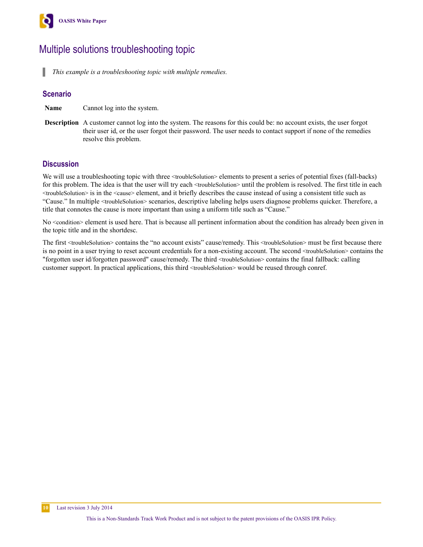<span id="page-9-0"></span>

# Multiple solutions troubleshooting topic

п *This example is a troubleshooting topic with multiple remedies.*

### **Scenario**

**Name** Cannot log into the system.

**Description** A customer cannot log into the system. The reasons for this could be: no account exists, the user forgot their user id, or the user forgot their password. The user needs to contact support if none of the remedies resolve this problem.

### **Discussion**

We will use a troubleshooting topic with three  $\langle$ troubleSolution> elements to present a series of potential fixes (fall-backs) for this problem. The idea is that the user will try each <troubleSolution> until the problem is resolved. The first title in each <troubleSolution> is in the <cause> element, and it briefly describes the cause instead of using a consistent title such as "Cause." In multiple <troubleSolution> scenarios, descriptive labeling helps users diagnose problems quicker. Therefore, a title that connotes the cause is more important than using a uniform title such as "Cause."

No <condition> element is used here. That is because all pertinent information about the condition has already been given in the topic title and in the shortdesc.

The first <troubleSolution> contains the "no account exists" cause/remedy. This <troubleSolution> must be first because there is no point in a user trying to reset account credentials for a non-existing account. The second <troubleSolution> contains the "forgotten user id/forgotten password" cause/remedy. The third <troubleSolution> contains the final fallback: calling customer support. In practical applications, this third <troubleSolution> would be reused through conref.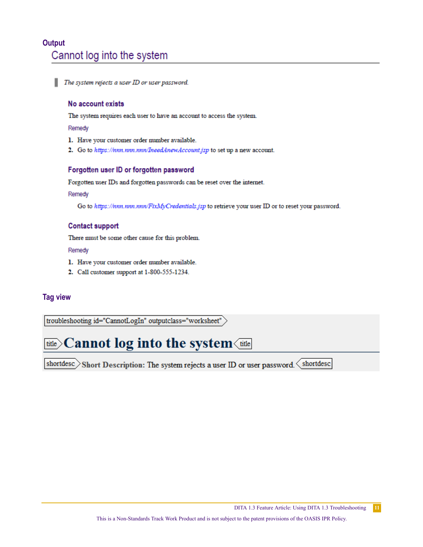## **Output** Cannot log into the system

٠ The system rejects a user ID or user password.

### No account exists

The system requires each user to have an account to access the system.

Remedy

- 1. Have your customer order number available.
- 2. Go to https://nnn.nnn.nnn/IneedAnewAccount.jsp to set up a new account.

### Forgotten user ID or forgotten password

Forgotten user IDs and forgotten passwords can be reset over the internet.

Remedy

Go to https://nnn.nnn.nnn/FixMyCredentials.jsp to retrieve your user ID or to reset your password.

### **Contact support**

There must be some other cause for this problem.

Remedy

- 1. Have your customer order number available.
- 2. Call customer support at 1-800-555-1234.

### **Tag view**

troubleshooting id="CannotLogIn" outputclass="worksheet"

# **<u>title</u>>Cannot log into the system** $\overline{\text{title}}$

shortdesc Short Description: The system rejects a user ID or user password.  $\langle$  shortdesc

 $11\,$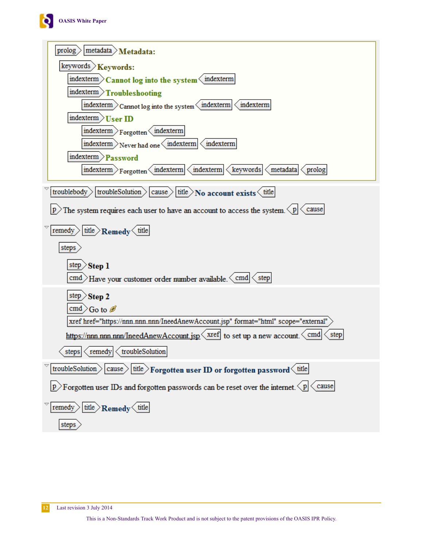

| $\text{prolog}$ metadata $\text{Meta}$                                                                                                               |
|------------------------------------------------------------------------------------------------------------------------------------------------------|
| keywords > Keywords:                                                                                                                                 |
| indexterm $\sum$ Cannot log into the system $\langle$ indexterm                                                                                      |
| indexterm >Troubleshooting                                                                                                                           |
| indexterm $\sum$ Cannot log into the system $\left\langle \right\rangle$ indexterm $\left\langle \right\rangle$ indexterm                            |
| indexterm >User ID                                                                                                                                   |
| $intexterm$ Forgotten $\langle$ indexterm                                                                                                            |
| $ \text{indexterm}\rangle_{\text{Never had one}}\langle \text{indexterm} \langle \text{indexterm}\rangle$                                            |
| indexterm > Password                                                                                                                                 |
| $ \text{indexterm}\rangle_{\text{Forgotten}}\langle\text{indexterm} \langle\text{indexterm} $<br>$\langle$ keywords $ \langle$<br>metadata<br>prolog |
| troublebody $\vert$ troubleSolution $\rangle$ cause $\vert$ title $\rangle$ No account exists $\langle$ title                                        |
| p The system requires each user to have an account to access the system $\langle p  \langle$ cause                                                   |
| $ \text{remedy}\rangle  \text{title}\rangle$ Remedy $\langle$ title                                                                                  |
| steps                                                                                                                                                |
| step $>$ Step 1                                                                                                                                      |
| cmd Have your customer order number available. $\langle$ cmd $\rangle$ step                                                                          |
| step $>$ Step 2                                                                                                                                      |
| cmd $\gtrsim$ Go to $\mathscr{B}$                                                                                                                    |
| xref href="https://nnn.nnn.nnn/IneedAnewAccount.jsp" format="html" scope="external"                                                                  |
| https://nnn.nnn.nnn/IneedAnewAccount.jsp \ xref to set up a new account. \ cmd<br>step                                                               |
| steps <remedy <troublesolution<="" td=""></remedy>                                                                                                   |
| troubleSolution $>$<br>$ \text{cause}\rangle$ title Forgotten user ID or forgotten password $\langle$ title                                          |
| $ p\rangle$ Forgotten user IDs and forgotten passwords can be reset over the internet. $\langle p  \langle$ cause                                    |
| remedy $\frac{1}{\text{title}}$ Remedy $\frac{1}{\text{title}}$                                                                                      |
| steps                                                                                                                                                |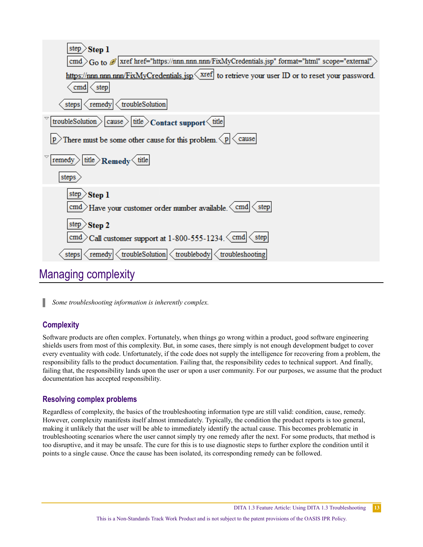<span id="page-12-0"></span>

| <b>Step 1</b><br>step $\geq$                                                                                                        |
|-------------------------------------------------------------------------------------------------------------------------------------|
| cmd $>G_0$ to $\mathscr{B}$ xref href="https://nnn.nnn.nnn/FixMyCredentials.jsp" format="html" scope="external"                     |
| https://nnn.nnn.nnn/FixMyCredentials.jsp \xref to retrieve your user ID or to reset your password.<br>$\text{cmd} \leq \text{step}$ |
| steps $\langle$ remedy $\langle$ troubleSolution                                                                                    |
| troubleSolution > cause > title > Contact support < title                                                                           |
| p There must be some other cause for this problem. $\langle p  \langle$ cause                                                       |
| $ \text{title}\rangle$ Remedy $\langle$ title<br>remedy $>$                                                                         |
| steps                                                                                                                               |
| step $>$ Step 1                                                                                                                     |
| cmd Have your customer order number available. $\langle$ cmd $\rangle$ step                                                         |
| step $>$ Step 2                                                                                                                     |
| cmd $\geq$ Call customer support at 1-800-555-1234. $\lt$ cmd $\lt$ step                                                            |
| $\langle$ remedy $ \langle$ troubleSolution $ \langle$ troublebody $ \langle$ troubleshooting<br>steps                              |
| the contract of the contract of the con-                                                                                            |

# Managing complexity

п *Some troubleshooting information is inherently complex.*

### **Complexity**

Software products are often complex. Fortunately, when things go wrong within a product, good software engineering shields users from most of this complexity. But, in some cases, there simply is not enough development budget to cover every eventuality with code. Unfortunately, if the code does not supply the intelligence for recovering from a problem, the responsibility falls to the product documentation. Failing that, the responsibility cedes to technical support. And finally, failing that, the responsibility lands upon the user or upon a user community. For our purposes, we assume that the product documentation has accepted responsibility.

### **Resolving complex problems**

Regardless of complexity, the basics of the troubleshooting information type are still valid: condition, cause, remedy. However, complexity manifests itself almost immediately. Typically, the condition the product reports is too general, making it unlikely that the user will be able to immediately identify the actual cause. This becomes problematic in troubleshooting scenarios where the user cannot simply try one remedy after the next. For some products, that method is too disruptive, and it may be unsafe. The cure for this is to use diagnostic steps to further explore the condition until it points to a single cause. Once the cause has been isolated, its corresponding remedy can be followed.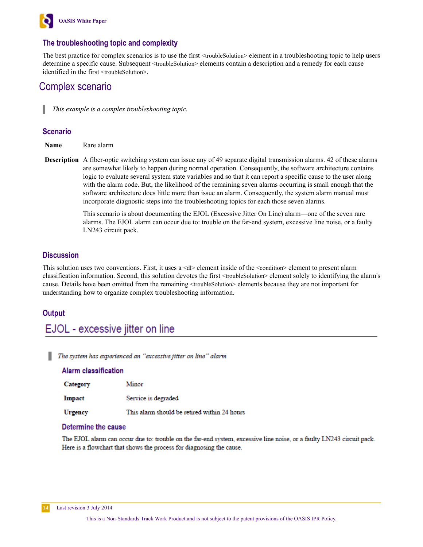<span id="page-13-0"></span>

### **The troubleshooting topic and complexity**

The best practice for complex scenarios is to use the first <troubleSolution> element in a troubleshooting topic to help users determine a specific cause. Subsequent <troubleSolution> elements contain a description and a remedy for each cause identified in the first <troubleSolution>.

### Complex scenario

*This example is a complex troubleshooting topic.*

### **Scenario**

**Name** Rare alarm

**Description** A fiber-optic switching system can issue any of 49 separate digital transmission alarms. 42 of these alarms are somewhat likely to happen during normal operation. Consequently, the software architecture contains logic to evaluate several system state variables and so that it can report a specific cause to the user along with the alarm code. But, the likelihood of the remaining seven alarms occurring is small enough that the software architecture does little more than issue an alarm. Consequently, the system alarm manual must incorporate diagnostic steps into the troubleshooting topics for each those seven alarms.

> This scenario is about documenting the EJOL (Excessive Jitter On Line) alarm—one of the seven rare alarms. The EJOL alarm can occur due to: trouble on the far-end system, excessive line noise, or a faulty LN243 circuit pack.

### **Discussion**

This solution uses two conventions. First, it uses a <dl> element inside of the <condition> element to present alarm classification information. Second, this solution devotes the first <troubleSolution> element solely to identifying the alarm's cause. Details have been omitted from the remaining <troubleSolution> elements because they are not important for understanding how to organize complex troubleshooting information.

### **Output**

### EJOL - excessive jitter on line

The system has experienced an "excessive jitter on line" alarm

#### **Alarm classification**

| Category      | Minor                                        |
|---------------|----------------------------------------------|
| <b>Impact</b> | Service is degraded                          |
| Urgency       | This alarm should be retired within 24 hours |

#### Determine the cause

The EJOL alarm can occur due to: trouble on the far-end system, excessive line noise, or a faulty LN243 circuit pack. Here is a flowchart that shows the process for diagnosing the cause.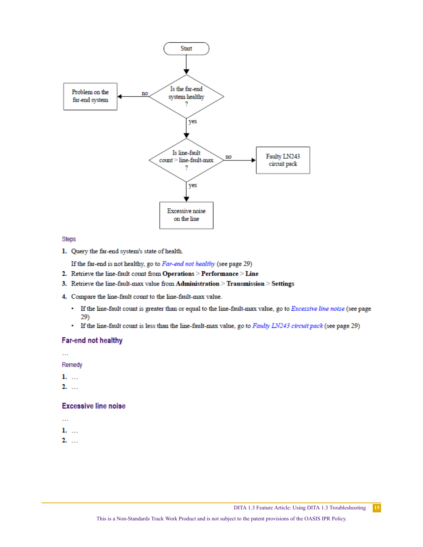

#### Steps

1. Query the far-end system's state of health.

If the far-end is not healthy, go to  $Far$ -end not healthy (see page 29)

- 2. Retrieve the line-fault count from Operations > Performance > Line
- 3. Retrieve the line-fault-max value from Administration > Transmission > Settings
- 4. Compare the line-fault count to the line-fault-max value.
	- If the line-fault count is greater than or equal to the line-fault-max value, go to Excessive line noise (see page 29)
	- If the line-fault count is less than the line-fault-max value, go to Faulty LN243 circuit pack (see page 29)

### Far-end not healthy

 $\ddotsc$ 

Remedy

- $1.$  ...
- $2.$  ...

#### **Excessive line noise**

- ш.
- 1. ...
- $2.$  ...

15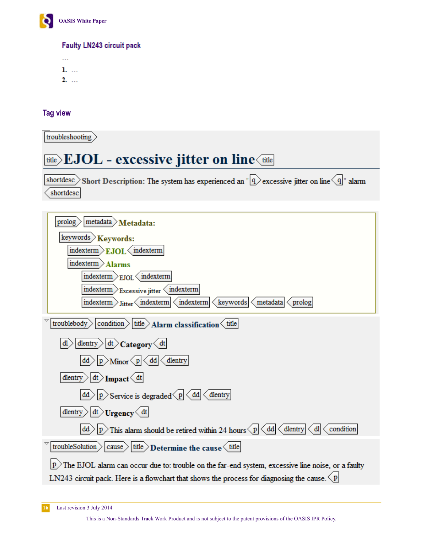

Faulty LN243 circuit pack

 $\ddotsc$ 1. ...  $2.$  ...

**Tag view**

troubleshooting

# **<u>title</u>**>EJOL - excessive jitter on line<title

shortdesc>Short Description: The system has experienced an " $\overline{9}$  excessive jitter on line  $\overline{9}$ " alarm shortdesc

| $meta data$ Metadata:<br>prolog                                                                                                              |
|----------------------------------------------------------------------------------------------------------------------------------------------|
| keywords > Keywords:                                                                                                                         |
| $intexterm$ EJOL $\langle$ indexterm                                                                                                         |
| indexterm > Alarms                                                                                                                           |
| indexterm $>_{EJOL}<$ indexterm                                                                                                              |
| $intexterm \sum_{\text{Excessive}}$ $inter \langle indexterm \rangle$                                                                        |
| $intexterm$ $\frac{1}{1}$ $intter \left\langle \text{indexterm} \right\rangle$<br>indexterm<br>keywords<br>metadata<br>prolog                |
| condition $\langle$ title $\rangle$ Alarm classification $\langle$ title<br>troublebody                                                      |
| dlentry $\left  d t \right\rangle$ Category $\left\langle d t \right $<br>đl                                                                 |
| $ p\rangle$ Minor $\langle p \langle d\mathbf{d}  \langle$ dlentry<br>dd                                                                     |
| dlentry $\left  d t \right>$ Impact $\left\langle d t \right $                                                                               |
| $ p\rangle$ Service is degraded $\langle p \langle d\mathbf{d} $ dlentry                                                                     |
| dlentry $\left  d t \right>$ Urgency $\left\langle d t \right $                                                                              |
| condition<br>$ p\rangle$ This alarm should be retired within 24 hours $\langle p \langle d\mathbf{d}  \rangle$ dlentry<br>$\langle$ dl<br>đđ |
| troubleSolution $>$<br>$ {\text{cause}}\rangle {\text{title}}\rangle$ Determine the cause $\langle$ title                                    |
| The EJOL alarm can occur due to: trouble on the far-end system, excessive line noise, or a faulty                                            |
| LN243 circuit pack. Here is a flowchart that shows the process for diagnosing the cause. $\langle p $                                        |

**16** Last revision 3 July 2014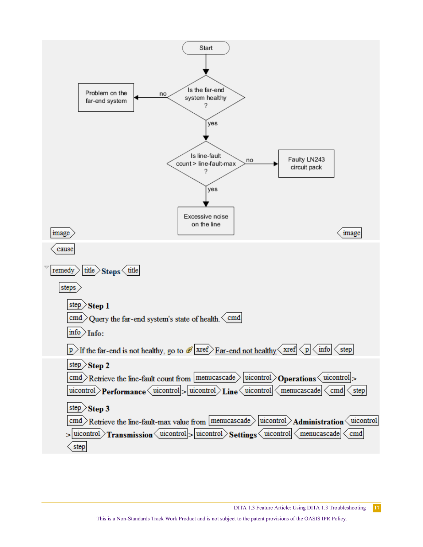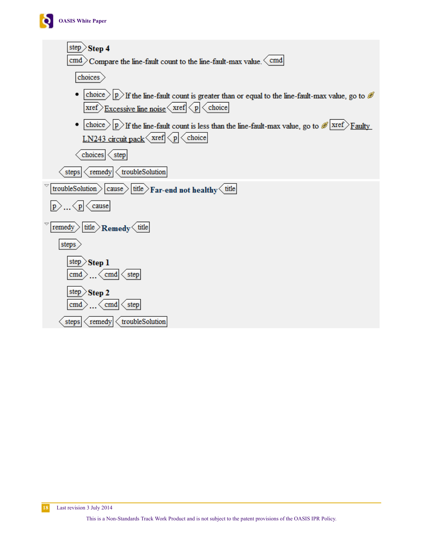

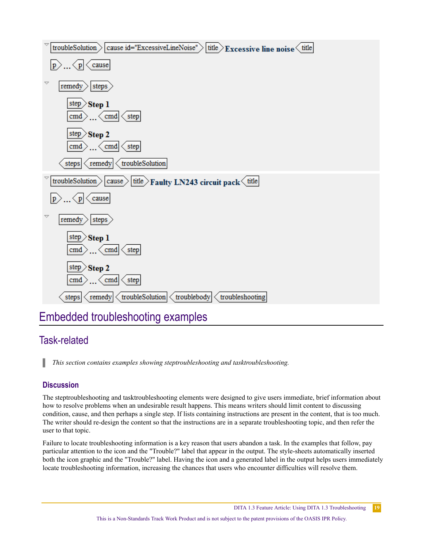<span id="page-18-0"></span>

# Embedded troubleshooting examples

# Task-related

ı *This section contains examples showing steptroubleshooting and tasktroubleshooting.*

### **Discussion**

The steptroubleshooting and tasktroubleshooting elements were designed to give users immediate, brief information about how to resolve problems when an undesirable result happens. This means writers should limit content to discussing condition, cause, and then perhaps a single step. If lists containing instructions are present in the content, that is too much. The writer should re-design the content so that the instructions are in a separate troubleshooting topic, and then refer the user to that topic.

Failure to locate troubleshooting information is a key reason that users abandon a task. In the examples that follow, pay particular attention to the icon and the "Trouble?" label that appear in the output. The style-sheets automatically inserted both the icon graphic and the "Trouble?" label. Having the icon and a generated label in the output helps users immediately locate troubleshooting information, increasing the chances that users who encounter difficulties will resolve them.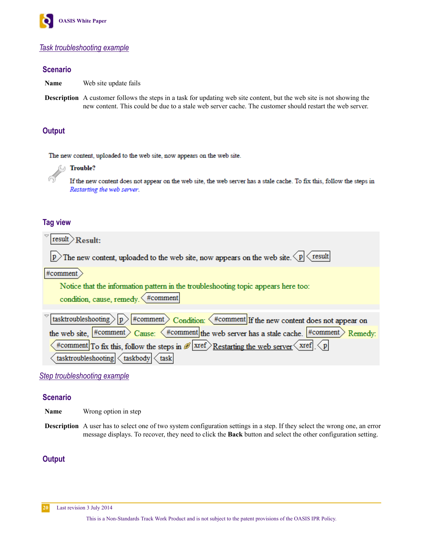<span id="page-19-0"></span>

### *Task troubleshooting example*

### **Scenario**

**Name** Web site update fails

**Description** A customer follows the steps in a task for updating web site content, but the web site is not showing the new content. This could be due to a stale web server cache. The customer should restart the web server.

### **Output**

The new content, uploaded to the web site, now appears on the web site.



If the new content does not appear on the web site, the web server has a stale cache. To fix this, follow the steps in Restarting the web server.

### **Tag view**

| $result$ Result:                                                                                                                         |
|------------------------------------------------------------------------------------------------------------------------------------------|
| p The new content, uploaded to the web site, now appears on the web site. $\langle p   \langle$ result                                   |
| #comment                                                                                                                                 |
| Notice that the information pattern in the troubleshooting topic appears here too:                                                       |
| condition, cause, remedy. < #comment                                                                                                     |
| tasktroubleshooting $\ p\ $ #comment $\frac{1}{\sqrt{p}}$ Condition: $\frac{1}{\sqrt{p}}$ #comment If the new content does not appear on |
| the web site, $\#$ comment $\geq$ Cause: $\lt$ #comment the web server has a stale cache. $\#$ comment $\geq$ Remedy:                    |
| #comment To fix this, follow the steps in $\mathscr{B}$ xref Restarting the web server $\langle$ xref $\langle p $                       |
| tasktroubleshooting<br>$\langle$ taskbody $\langle$ task                                                                                 |

*Step troubleshooting example*

### **Scenario**

- **Name** Wrong option in step
- **Description** A user has to select one of two system configuration settings in a step. If they select the wrong one, an error message displays. To recover, they need to click the **Back** button and select the other configuration setting.

### **Output**

**20** Last revision 3 July 2014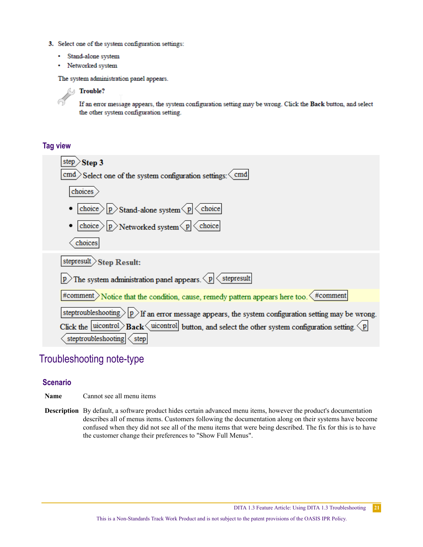- <span id="page-20-0"></span>3. Select one of the system configuration settings:
	- · Stand-alone system
	- Networked system

The system administration panel appears.

### *C* Trouble?

If an error message appears, the system configuration setting may be wrong. Click the Back button, and select the other system configuration setting.

### **Tag view**

6

| Step 3                                                                                                           |
|------------------------------------------------------------------------------------------------------------------|
| $\geq$ Select one of the system configuration settings: $\leq$ cmd<br>cmd                                        |
| choices                                                                                                          |
| choice $\langle p \rangle$ Stand-alone system $\langle p   \langle$ choice                                       |
| choice $\rangle$ $ p\rangle$ Networked system $\langle p  \langle$ choice                                        |
| choices                                                                                                          |
| stepresult > Step Result:                                                                                        |
| The system administration panel appears. $\langle p   \langle$ stepresult                                        |
| #comment $\sum$ Notice that the condition, cause, remedy pattern appears here too. $\leq$ #comment               |
| steptroubleshooting $\geq$  p $\geq$ If an error message appears, the system configuration setting may be wrong. |
| Click the uicontrol <b>Back</b> uicontrol button, and select the other system configuration setting.             |
| steptroubleshooting<br>step                                                                                      |

### Troubleshooting note-type

### **Scenario**

**Name** Cannot see all menu items

**Description** By default, a software product hides certain advanced menu items, however the product's documentation describes all of menus items. Customers following the documentation along on their systems have become confused when they did not see all of the menu items that were being described. The fix for this is to have the customer change their preferences to "Show Full Menus".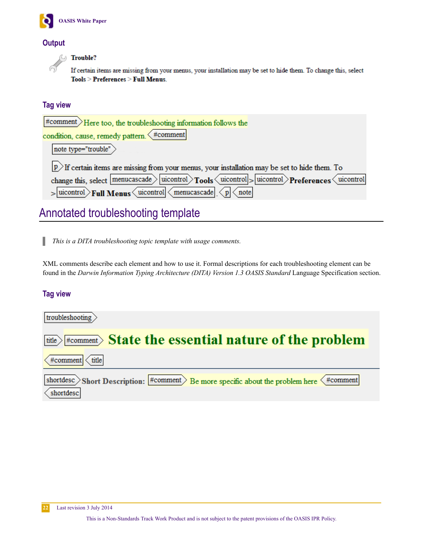<span id="page-21-0"></span>

### **Output**

**Trouble?** л

If certain items are missing from your menus, your installation may be set to hide them. To change this, select Tools > Preferences > Full Menus.

### **Tag view**

| $#comment$ Here too, the troubleshooting information follows the                                                                        |
|-----------------------------------------------------------------------------------------------------------------------------------------|
| condition, cause, remedy pattern. $\left\langle \text{\#comment}\right $                                                                |
| note type="trouble"                                                                                                                     |
| $ p\rangle$ If certain items are missing from your menus, your installation may be set to hide them. To                                 |
| change this, select $ \text{menucascade}\rangle$ uicontrol $\gamma$ Tools $\langle$ uicontrol $\rangle$ Preferences $\langle$ uicontrol |
| $>$ uicontrol $>$ Full Menus uicontrol menucascade $p$ note                                                                             |

# Annotated troubleshooting template

ı *This is a DITA troubleshooting topic template with usage comments.*

XML comments describe each element and how to use it. Formal descriptions for each troubleshooting element can be found in the *Darwin Information Typing Architecture (DITA) Version 1.3 OASIS Standard* Language Specification section.

### **Tag view**

| troubleshooting                                                                                                             |
|-----------------------------------------------------------------------------------------------------------------------------|
| $\overline{\text{title}}$ $\rightarrow$ $\text{H}_{\text{comment}}$ $\rightarrow$ State the essential nature of the problem |
| $#comment$ $\langle$ title                                                                                                  |
| shortdesc > Short Description: $\#$ comment > Be more specific about the problem here $\langle$ #comment<br>shortdesc       |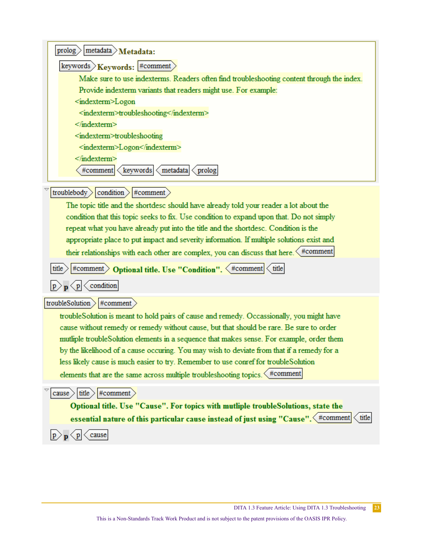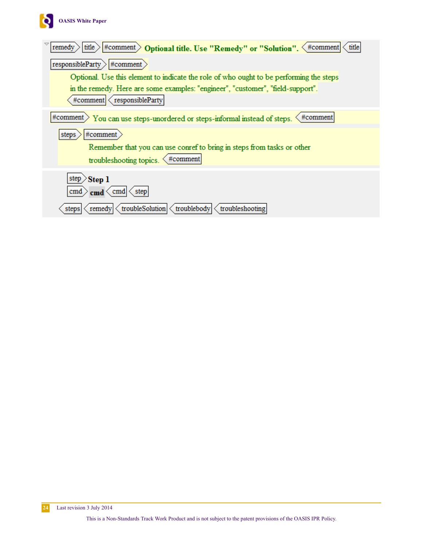